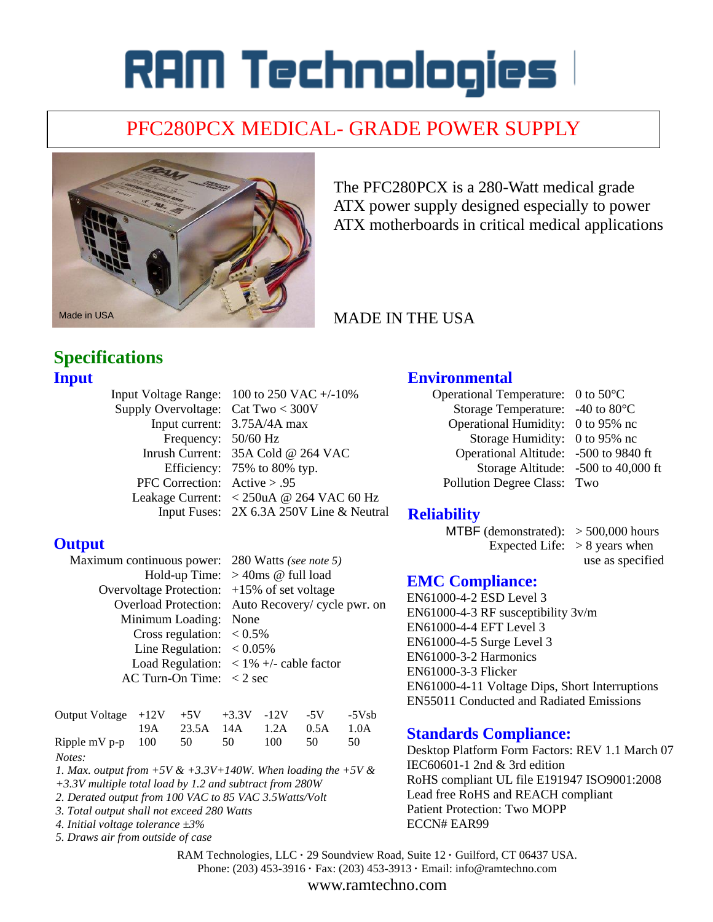# RAM Technologies l

# PFC280PCX MEDICAL- GRADE POWER SUPPLY



The PFC280PCX is a 280-Watt medical grade ATX power supply designed especially to power ATX motherboards in critical medical applications

## MADE IN THE USA

## **Specifications Input**

|                                      | Input Voltage Range: $100$ to 250 VAC $+/-10\%$ |
|--------------------------------------|-------------------------------------------------|
| Supply Overvoltage: Cat Two $<$ 300V |                                                 |
|                                      | Input current: 3.75A/4A max                     |
| Frequency: 50/60 Hz                  |                                                 |
|                                      | Inrush Current: 35A Cold @ 264 VAC              |
|                                      | Efficiency: 75% to 80% typ.                     |
| PFC Correction: $Active > .95$       |                                                 |
|                                      | Leakage Current: < 250uA @ 264 VAC 60 Hz        |
|                                      | Input Fuses: 2X 6.3A 250V Line & Neutral        |

#### **Output**

| Maximum continuous power: 280 Watts (see note 5)        |  |  |  |
|---------------------------------------------------------|--|--|--|
| Hold-up Time: $>40$ ms @ full load                      |  |  |  |
| Overvoltage Protection: $+15\%$ of set voltage          |  |  |  |
| Overload Protection: Auto Recovery/ cycle pwr. on       |  |  |  |
| Minimum Loading: None                                   |  |  |  |
| Cross regulation: $< 0.5\%$                             |  |  |  |
| Line Regulation: $< 0.05\%$                             |  |  |  |
| Load Regulation: $\langle 1\% + \rangle$ - cable factor |  |  |  |
| AC Turn-On Time: $\langle 2 \text{ sec} \rangle$        |  |  |  |
|                                                         |  |  |  |

| Output Voltage $+12V$ $+5V$ $+3.3V$ $-12V$ $-5V$ $-5Vsb$ |  |                              |     |     |    |
|----------------------------------------------------------|--|------------------------------|-----|-----|----|
|                                                          |  | 19A 23.5A 14A 1.2A 0.5A 1.0A |     |     |    |
| Ripple mV p-p $100$ 50 50                                |  |                              | 100 | -50 | 50 |
| Notes:                                                   |  |                              |     |     |    |

*1. Max. output from +5V & +3.3V+140W. When loading the +5V &* 

- *+3.3V multiple total load by 1.2 and subtract from 280W*
- *2. Derated output from 100 VAC to 85 VAC 3.5Watts/Volt 3. Total output shall not exceed 280 Watts*
- *4. Initial voltage tolerance ±3%*
- *5. Draws air from outside of case*
- 

#### **Environmental**

Operational Temperature: 0 to 50°C Storage Temperature: -40 to 80°C Operational Humidity: 0 to 95% nc Storage Humidity: 0 to 95% nc Operational Altitude: -500 to 9840 ft Storage Altitude: -500 to 40,000 ft Pollution Degree Class: Two

#### **Reliability**

MTBF (demonstrated):  $> 500,000$  hours Expected Life:  $> 8$  years when

use as specified

#### **EMC Compliance:**

EN61000-4-2 ESD Level 3 EN61000-4-3 RF susceptibility 3v/m EN61000-4-4 EFT Level 3 EN61000-4-5 Surge Level 3 EN61000-3-2 Harmonics EN61000-3-3 Flicker EN61000-4-11 Voltage Dips, Short Interruptions EN55011 Conducted and Radiated Emissions

#### **Standards Compliance:**

Desktop Platform Form Factors: REV 1.1 March 07 IEC60601-1 2nd & 3rd edition RoHS compliant UL file E191947 ISO9001:2008 Lead free RoHS and REACH compliant Patient Protection: Two MOPP ECCN# EAR99

RAM Technologies, LLC **·** 29 Soundview Road, Suite 12 **·** Guilford, CT 06437 USA. Phone: (203) 453-3916 **·** Fax: (203) 453-3913 **·** Email: info@ramtechno.com

www.ramtechno.com